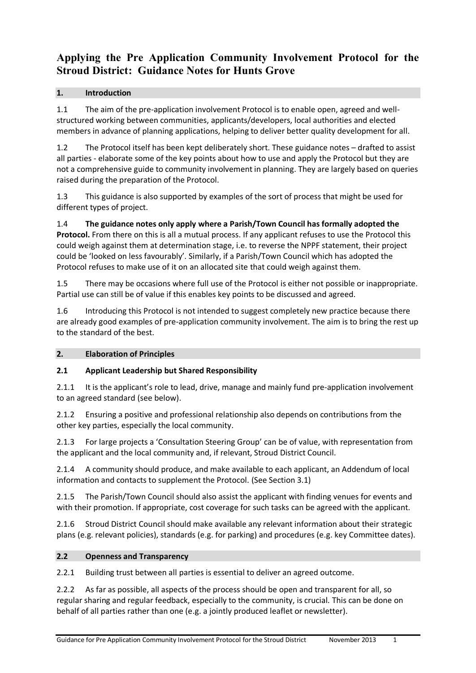# **Applying the Pre Application Community Involvement Protocol for the Stroud District: Guidance Notes for Hunts Grove**

### **1. Introduction**

1.1 The aim of the pre-application involvement Protocol is to enable open, agreed and wellstructured working between communities, applicants/developers, local authorities and elected members in advance of planning applications, helping to deliver better quality development for all.

1.2 The Protocol itself has been kept deliberately short. These guidance notes – drafted to assist all parties - elaborate some of the key points about how to use and apply the Protocol but they are not a comprehensive guide to community involvement in planning. They are largely based on queries raised during the preparation of the Protocol.

1.3 This guidance is also supported by examples of the sort of process that might be used for different types of project.

1.4 **The guidance notes only apply where a Parish/Town Council has formally adopted the Protocol.** From there on this is all a mutual process. If any applicant refuses to use the Protocol this could weigh against them at determination stage, i.e. to reverse the NPPF statement, their project could be 'looked on less favourably'. Similarly, if a Parish/Town Council which has adopted the Protocol refuses to make use of it on an allocated site that could weigh against them.

1.5 There may be occasions where full use of the Protocol is either not possible or inappropriate. Partial use can still be of value if this enables key points to be discussed and agreed.

1.6 Introducing this Protocol is not intended to suggest completely new practice because there are already good examples of pre-application community involvement. The aim is to bring the rest up to the standard of the best.

#### **2. Elaboration of Principles**

#### **2.1 Applicant Leadership but Shared Responsibility**

2.1.1 It is the applicant's role to lead, drive, manage and mainly fund pre-application involvement to an agreed standard (see below).

2.1.2 Ensuring a positive and professional relationship also depends on contributions from the other key parties, especially the local community.

2.1.3 For large projects a 'Consultation Steering Group' can be of value, with representation from the applicant and the local community and, if relevant, Stroud District Council.

2.1.4 A community should produce, and make available to each applicant, an Addendum of local information and contacts to supplement the Protocol. (See Section 3.1)

2.1.5 The Parish/Town Council should also assist the applicant with finding venues for events and with their promotion. If appropriate, cost coverage for such tasks can be agreed with the applicant.

2.1.6 Stroud District Council should make available any relevant information about their strategic plans (e.g. relevant policies), standards (e.g. for parking) and procedures (e.g. key Committee dates).

#### **2.2 Openness and Transparency**

2.2.1 Building trust between all parties is essential to deliver an agreed outcome.

2.2.2 As far as possible, all aspects of the process should be open and transparent for all, so regular sharing and regular feedback, especially to the community, is crucial. This can be done on behalf of all parties rather than one (e.g. a jointly produced leaflet or newsletter).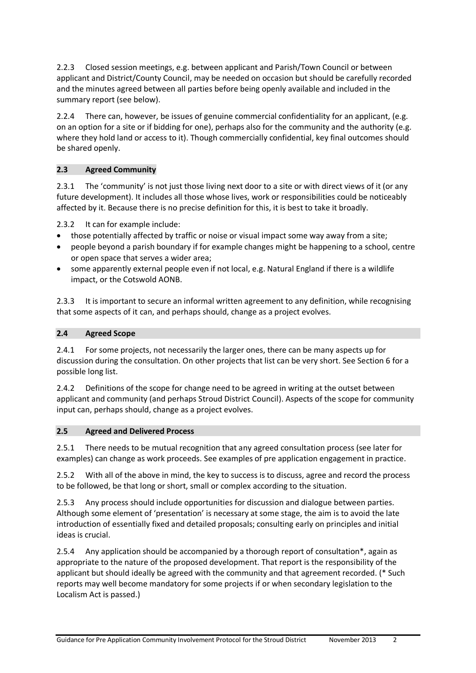2.2.3 Closed session meetings, e.g. between applicant and Parish/Town Council or between applicant and District/County Council, may be needed on occasion but should be carefully recorded and the minutes agreed between all parties before being openly available and included in the summary report (see below).

2.2.4 There can, however, be issues of genuine commercial confidentiality for an applicant, (e.g. on an option for a site or if bidding for one), perhaps also for the community and the authority (e.g. where they hold land or access to it). Though commercially confidential, key final outcomes should be shared openly.

### **2.3 Agreed Community**

2.3.1 The 'community' is not just those living next door to a site or with direct views of it (or any future development). It includes all those whose lives, work or responsibilities could be noticeably affected by it. Because there is no precise definition for this, it is best to take it broadly.

2.3.2 It can for example include:

- those potentially affected by traffic or noise or visual impact some way away from a site;
- people beyond a parish boundary if for example changes might be happening to a school, centre or open space that serves a wider area;
- some apparently external people even if not local, e.g. Natural England if there is a wildlife impact, or the Cotswold AONB.

2.3.3 It is important to secure an informal written agreement to any definition, while recognising that some aspects of it can, and perhaps should, change as a project evolves.

#### **2.4 Agreed Scope**

2.4.1 For some projects, not necessarily the larger ones, there can be many aspects up for discussion during the consultation. On other projects that list can be very short. See Section 6 for a possible long list.

2.4.2 Definitions of the scope for change need to be agreed in writing at the outset between applicant and community (and perhaps Stroud District Council). Aspects of the scope for community input can, perhaps should, change as a project evolves.

#### **2.5 Agreed and Delivered Process**

2.5.1 There needs to be mutual recognition that any agreed consultation process (see later for examples) can change as work proceeds. See examples of pre application engagement in practice.

2.5.2 With all of the above in mind, the key to success is to discuss, agree and record the process to be followed, be that long or short, small or complex according to the situation.

2.5.3 Any process should include opportunities for discussion and dialogue between parties. Although some element of 'presentation' is necessary at some stage, the aim is to avoid the late introduction of essentially fixed and detailed proposals; consulting early on principles and initial ideas is crucial.

2.5.4 Any application should be accompanied by a thorough report of consultation\*, again as appropriate to the nature of the proposed development. That report is the responsibility of the applicant but should ideally be agreed with the community and that agreement recorded. (\* Such reports may well become mandatory for some projects if or when secondary legislation to the Localism Act is passed.)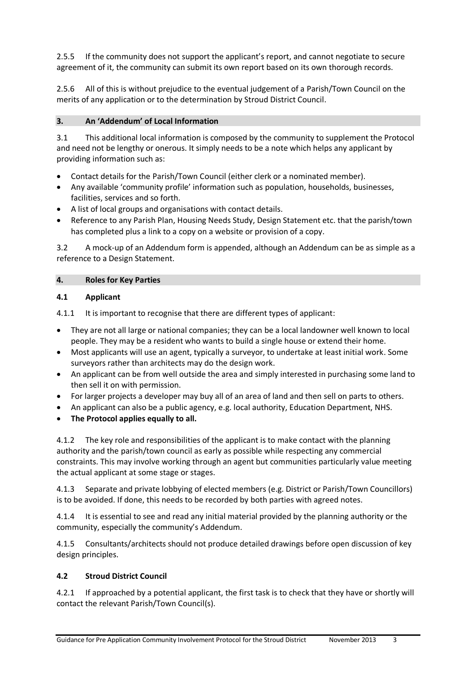2.5.5 If the community does not support the applicant's report, and cannot negotiate to secure agreement of it, the community can submit its own report based on its own thorough records.

2.5.6 All of this is without prejudice to the eventual judgement of a Parish/Town Council on the merits of any application or to the determination by Stroud District Council.

#### **3. An 'Addendum' of Local Information**

3.1 This additional local information is composed by the community to supplement the Protocol and need not be lengthy or onerous. It simply needs to be a note which helps any applicant by providing information such as:

- Contact details for the Parish/Town Council (either clerk or a nominated member).
- Any available 'community profile' information such as population, households, businesses, facilities, services and so forth.
- A list of local groups and organisations with contact details.
- Reference to any Parish Plan, Housing Needs Study, Design Statement etc. that the parish/town has completed plus a link to a copy on a website or provision of a copy.

3.2 A mock-up of an Addendum form is appended, although an Addendum can be as simple as a reference to a Design Statement.

#### **4. Roles for Key Parties**

#### **4.1 Applicant**

4.1.1 It is important to recognise that there are different types of applicant:

- They are not all large or national companies; they can be a local landowner well known to local people. They may be a resident who wants to build a single house or extend their home.
- Most applicants will use an agent, typically a surveyor, to undertake at least initial work. Some surveyors rather than architects may do the design work.
- An applicant can be from well outside the area and simply interested in purchasing some land to then sell it on with permission.
- For larger projects a developer may buy all of an area of land and then sell on parts to others.
- An applicant can also be a public agency, e.g. local authority, Education Department, NHS.
- **The Protocol applies equally to all.**

4.1.2 The key role and responsibilities of the applicant is to make contact with the planning authority and the parish/town council as early as possible while respecting any commercial constraints. This may involve working through an agent but communities particularly value meeting the actual applicant at some stage or stages.

4.1.3 Separate and private lobbying of elected members (e.g. District or Parish/Town Councillors) is to be avoided. If done, this needs to be recorded by both parties with agreed notes.

4.1.4 It is essential to see and read any initial material provided by the planning authority or the community, especially the community's Addendum.

4.1.5 Consultants/architects should not produce detailed drawings before open discussion of key design principles.

#### **4.2 Stroud District Council**

4.2.1 If approached by a potential applicant, the first task is to check that they have or shortly will contact the relevant Parish/Town Council(s).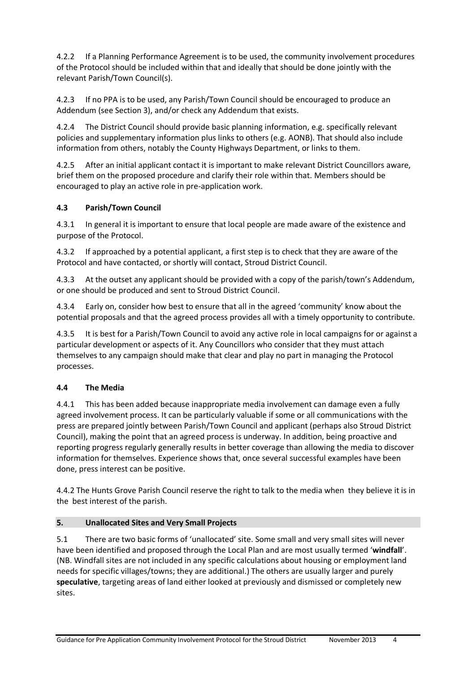4.2.2 If a Planning Performance Agreement is to be used, the community involvement procedures of the Protocol should be included within that and ideally that should be done jointly with the relevant Parish/Town Council(s).

4.2.3 If no PPA is to be used, any Parish/Town Council should be encouraged to produce an Addendum (see Section 3), and/or check any Addendum that exists.

4.2.4 The District Council should provide basic planning information, e.g. specifically relevant policies and supplementary information plus links to others (e.g. AONB). That should also include information from others, notably the County Highways Department, or links to them.

4.2.5 After an initial applicant contact it is important to make relevant District Councillors aware, brief them on the proposed procedure and clarify their role within that. Members should be encouraged to play an active role in pre-application work.

### **4.3 Parish/Town Council**

4.3.1 In general it is important to ensure that local people are made aware of the existence and purpose of the Protocol.

4.3.2 If approached by a potential applicant, a first step is to check that they are aware of the Protocol and have contacted, or shortly will contact, Stroud District Council.

4.3.3 At the outset any applicant should be provided with a copy of the parish/town's Addendum, or one should be produced and sent to Stroud District Council.

4.3.4 Early on, consider how best to ensure that all in the agreed 'community' know about the potential proposals and that the agreed process provides all with a timely opportunity to contribute.

4.3.5 It is best for a Parish/Town Council to avoid any active role in local campaigns for or against a particular development or aspects of it. Any Councillors who consider that they must attach themselves to any campaign should make that clear and play no part in managing the Protocol processes.

#### **4.4 The Media**

4.4.1 This has been added because inappropriate media involvement can damage even a fully agreed involvement process. It can be particularly valuable if some or all communications with the press are prepared jointly between Parish/Town Council and applicant (perhaps also Stroud District Council), making the point that an agreed process is underway. In addition, being proactive and reporting progress regularly generally results in better coverage than allowing the media to discover information for themselves. Experience shows that, once several successful examples have been done, press interest can be positive.

4.4.2 The Hunts Grove Parish Council reserve the right to talk to the media when they believe it is in the best interest of the parish.

#### **5. Unallocated Sites and Very Small Projects**

5.1 There are two basic forms of 'unallocated' site. Some small and very small sites will never have been identified and proposed through the Local Plan and are most usually termed '**windfall**'. (NB. Windfall sites are not included in any specific calculations about housing or employment land needs for specific villages/towns; they are additional.) The others are usually larger and purely **speculative**, targeting areas of land either looked at previously and dismissed or completely new sites.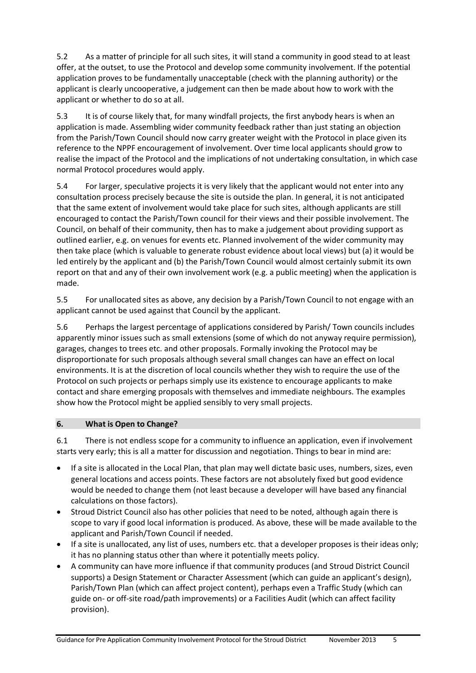5.2 As a matter of principle for all such sites, it will stand a community in good stead to at least offer, at the outset, to use the Protocol and develop some community involvement. If the potential application proves to be fundamentally unacceptable (check with the planning authority) or the applicant is clearly uncooperative, a judgement can then be made about how to work with the applicant or whether to do so at all.

5.3 It is of course likely that, for many windfall projects, the first anybody hears is when an application is made. Assembling wider community feedback rather than just stating an objection from the Parish/Town Council should now carry greater weight with the Protocol in place given its reference to the NPPF encouragement of involvement. Over time local applicants should grow to realise the impact of the Protocol and the implications of not undertaking consultation, in which case normal Protocol procedures would apply.

5.4 For larger, speculative projects it is very likely that the applicant would not enter into any consultation process precisely because the site is outside the plan. In general, it is not anticipated that the same extent of involvement would take place for such sites, although applicants are still encouraged to contact the Parish/Town council for their views and their possible involvement. The Council, on behalf of their community, then has to make a judgement about providing support as outlined earlier, e.g. on venues for events etc. Planned involvement of the wider community may then take place (which is valuable to generate robust evidence about local views) but (a) it would be led entirely by the applicant and (b) the Parish/Town Council would almost certainly submit its own report on that and any of their own involvement work (e.g. a public meeting) when the application is made.

5.5 For unallocated sites as above, any decision by a Parish/Town Council to not engage with an applicant cannot be used against that Council by the applicant.

5.6 Perhaps the largest percentage of applications considered by Parish/ Town councils includes apparently minor issues such as small extensions (some of which do not anyway require permission), garages, changes to trees etc. and other proposals. Formally invoking the Protocol may be disproportionate for such proposals although several small changes can have an effect on local environments. It is at the discretion of local councils whether they wish to require the use of the Protocol on such projects or perhaps simply use its existence to encourage applicants to make contact and share emerging proposals with themselves and immediate neighbours. The examples show how the Protocol might be applied sensibly to very small projects.

#### **6. What is Open to Change?**

6.1 There is not endless scope for a community to influence an application, even if involvement starts very early; this is all a matter for discussion and negotiation. Things to bear in mind are:

- If a site is allocated in the Local Plan, that plan may well dictate basic uses, numbers, sizes, even general locations and access points. These factors are not absolutely fixed but good evidence would be needed to change them (not least because a developer will have based any financial calculations on those factors).
- Stroud District Council also has other policies that need to be noted, although again there is scope to vary if good local information is produced. As above, these will be made available to the applicant and Parish/Town Council if needed.
- If a site is unallocated, any list of uses, numbers etc. that a developer proposes is their ideas only; it has no planning status other than where it potentially meets policy.
- A community can have more influence if that community produces (and Stroud District Council supports) a Design Statement or Character Assessment (which can guide an applicant's design), Parish/Town Plan (which can affect project content), perhaps even a Traffic Study (which can guide on- or off-site road/path improvements) or a Facilities Audit (which can affect facility provision).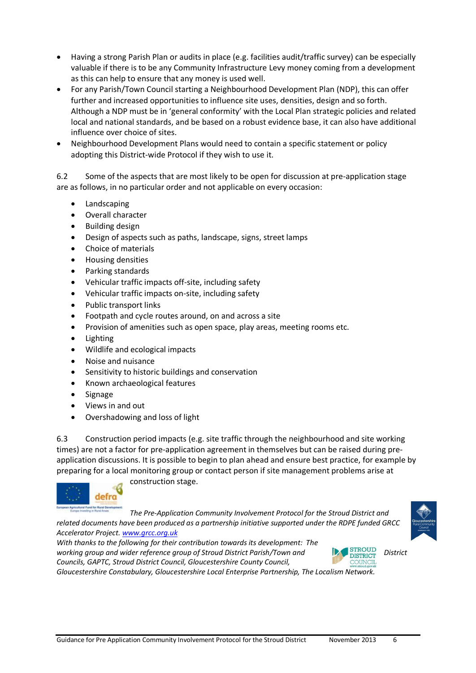- Having a strong Parish Plan or audits in place (e.g. facilities audit/traffic survey) can be especially valuable if there is to be any Community Infrastructure Levy money coming from a development as this can help to ensure that any money is used well.
- For any Parish/Town Council starting a Neighbourhood Development Plan (NDP), this can offer further and increased opportunities to influence site uses, densities, design and so forth. Although a NDP must be in 'general conformity' with the Local Plan strategic policies and related local and national standards, and be based on a robust evidence base, it can also have additional influence over choice of sites.
- Neighbourhood Development Plans would need to contain a specific statement or policy adopting this District-wide Protocol if they wish to use it.

6.2 Some of the aspects that are most likely to be open for discussion at pre-application stage are as follows, in no particular order and not applicable on every occasion:

- Landscaping
- Overall character
- Building design
- Design of aspects such as paths, landscape, signs, street lamps
- Choice of materials
- Housing densities
- Parking standards
- Vehicular traffic impacts off-site, including safety
- Vehicular traffic impacts on-site, including safety
- Public transport links
- Footpath and cycle routes around, on and across a site
- Provision of amenities such as open space, play areas, meeting rooms etc.
- Lighting
- Wildlife and ecological impacts
- Noise and nuisance
- Sensitivity to historic buildings and conservation
- Known archaeological features
- Signage
- Views in and out
- Overshadowing and loss of light

6.3 Construction period impacts (e.g. site traffic through the neighbourhood and site working times) are not a factor for pre-application agreement in themselves but can be raised during preapplication discussions. It is possible to begin to plan ahead and ensure best practice, for example by preparing for a local monitoring group or contact person if site management problems arise at



construction stage.

*The Pre-Application Community Involvement Protocol for the Stroud District and related documents have been produced as a partnership initiative supported under the RDPE funded GRCC* 



*Accelerator Project. [www.grcc.org.uk](http://www.grcc.org.uk/) With thanks to the following for their contribution towards its development: The working group and wider reference group of Stroud District Parish/Town and* DISTRICT *District District Councils, GAPTC, Stroud District Council, Gloucestershire County Council,* 

COUNCIL *Gloucestershire Constabulary, Gloucestershire Local Enterprise Partnership, The Localism Network.*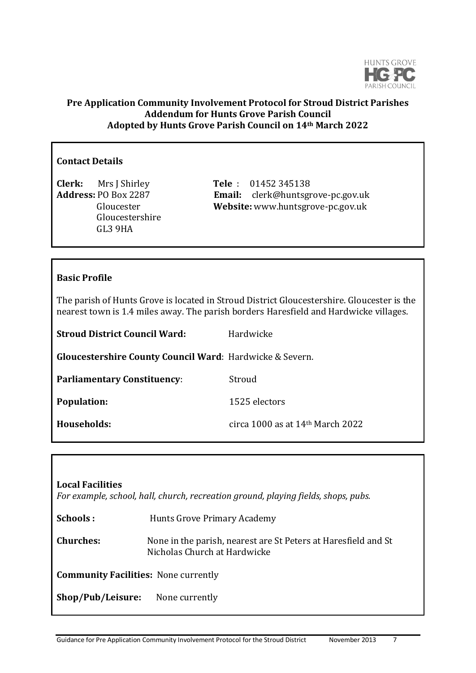

## **Pre Application Community Involvement Protocol for Stroud District Parishes Addendum for Hunts Grove Parish Council Adopted by Hunts Grove Parish Council on 14th March 2022**

### **Contact Details**

**Clerk:** Mrs J Shirley **Tele** : 01452 345138 Gloucestershire GL3 9HA

**Address:** PO Box 2287 **Email:** clerk@huntsgrove-pc.gov.uk Gloucester **Website:** www.huntsgrove-pc.gov.uk

# **Basic Profile**

The parish of Hunts Grove is located in Stroud District Gloucestershire. Gloucester is the nearest town is 1.4 miles away. The parish borders Haresfield and Hardwicke villages.

| <b>Stroud District Council Ward:</b>                     | Hardwicke                          |
|----------------------------------------------------------|------------------------------------|
| Gloucestershire County Council Ward: Hardwicke & Severn. |                                    |
| <b>Parliamentary Constituency:</b>                       | Stroud                             |
| <b>Population:</b>                                       | 1525 electors                      |
| Households:                                              | circa 1000 as at $14th$ March 2022 |

| <b>Local Facilities</b><br>For example, school, hall, church, recreation ground, playing fields, shops, pubs. |                                                                                                |  |
|---------------------------------------------------------------------------------------------------------------|------------------------------------------------------------------------------------------------|--|
| Schools:                                                                                                      | Hunts Grove Primary Academy                                                                    |  |
| <b>Churches:</b>                                                                                              | None in the parish, nearest are St Peters at Haresfield and St<br>Nicholas Church at Hardwicke |  |
| <b>Community Facilities: None currently</b>                                                                   |                                                                                                |  |
| Shop/Pub/Leisure:                                                                                             | None currently                                                                                 |  |